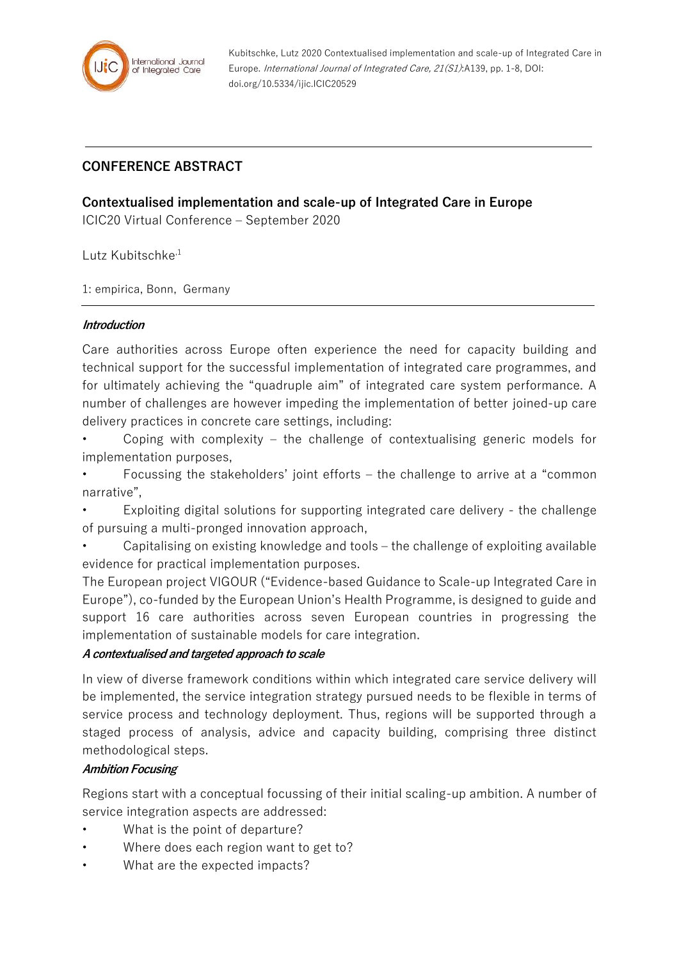

Kubitschke, Lutz 2020 Contextualised implementation and scale-up of Integrated Care in Europe. International Journal of Integrated Care, 21(S1):A139, pp. 1-8, DOI: doi.org/10.5334/ijic.ICIC20529

# **CONFERENCE ABSTRACT**

## **Contextualised implementation and scale-up of Integrated Care in Europe**

ICIC20 Virtual Conference – September 2020

Lutz Kubitschke<sup>,1</sup>

1: empirica, Bonn, Germany

### **Introduction**

Care authorities across Europe often experience the need for capacity building and technical support for the successful implementation of integrated care programmes, and for ultimately achieving the "quadruple aim" of integrated care system performance. A number of challenges are however impeding the implementation of better joined-up care delivery practices in concrete care settings, including:

Coping with complexity  $-$  the challenge of contextualising generic models for implementation purposes,

• Focussing the stakeholders' joint efforts – the challenge to arrive at a "common narrative",

• Exploiting digital solutions for supporting integrated care delivery - the challenge of pursuing a multi-pronged innovation approach,

• Capitalising on existing knowledge and tools – the challenge of exploiting available evidence for practical implementation purposes.

The European project VIGOUR ("Evidence-based Guidance to Scale-up Integrated Care in Europe"), co-funded by the European Union's Health Programme, is designed to guide and support 16 care authorities across seven European countries in progressing the implementation of sustainable models for care integration.

### **A contextualised and targeted approach to scale**

In view of diverse framework conditions within which integrated care service delivery will be implemented, the service integration strategy pursued needs to be flexible in terms of service process and technology deployment. Thus, regions will be supported through a staged process of analysis, advice and capacity building, comprising three distinct methodological steps.

### **Ambition Focusing**

Regions start with a conceptual focussing of their initial scaling-up ambition. A number of service integration aspects are addressed:

- What is the point of departure?
- Where does each region want to get to?
- What are the expected impacts?